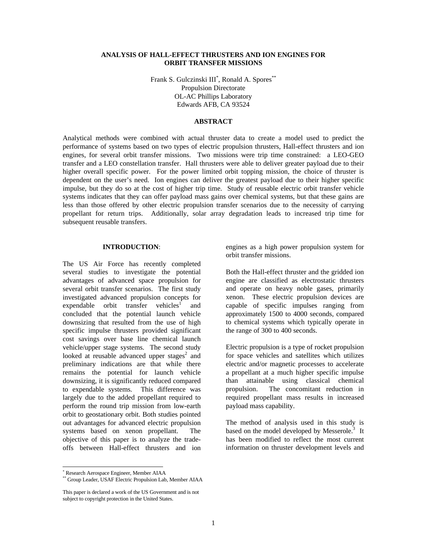# **ANALYSIS OF HALL-EFFECT THRUSTERS AND ION ENGINES FOR ORBIT TRANSFER MISSIONS**

Frank S. Gulczinski III<sup>\*</sup>, Ronald A. Spores<sup>\*\*</sup> Propulsion Directorate OL-AC Phillips Laboratory Edwards AFB, CA 93524

### **ABSTRACT**

Analytical methods were combined with actual thruster data to create a model used to predict the performance of systems based on two types of electric propulsion thrusters, Hall-effect thrusters and ion engines, for several orbit transfer missions. Two missions were trip time constrained: a LEO-GEO transfer and a LEO constellation transfer. Hall thrusters were able to deliver greater payload due to their higher overall specific power. For the power limited orbit topping mission, the choice of thruster is dependent on the user's need. Ion engines can deliver the greatest payload due to their higher specific impulse, but they do so at the cost of higher trip time. Study of reusable electric orbit transfer vehicle systems indicates that they can offer payload mass gains over chemical systems, but that these gains are less than those offered by other electric propulsion transfer scenarios due to the necessity of carrying propellant for return trips. Additionally, solar array degradation leads to increased trip time for subsequent reusable transfers.

### **INTRODUCTION**:

The US Air Force has recently completed several studies to investigate the potential advantages of advanced space propulsion for several orbit transfer scenarios. The first study investigated advanced propulsion concepts for expendable orbit transfer vehicles<sup>1</sup> and concluded that the potential launch vehicle downsizing that resulted from the use of high specific impulse thrusters provided significant cost savings over base line chemical launch vehicle/upper stage systems. The second study looked at reusable advanced upper stages<sup>2</sup> and preliminary indications are that while there remains the potential for launch vehicle downsizing, it is significantly reduced compared to expendable systems. This difference was largely due to the added propellant required to perform the round trip mission from low-earth orbit to geostationary orbit. Both studies pointed out advantages for advanced electric propulsion systems based on xenon propellant. The objective of this paper is to analyze the tradeoffs between Hall-effect thrusters and ion engines as a high power propulsion system for orbit transfer missions.

Both the Hall-effect thruster and the gridded ion engine are classified as electrostatic thrusters and operate on heavy noble gases, primarily xenon. These electric propulsion devices are capable of specific impulses ranging from approximately 1500 to 4000 seconds, compared to chemical systems which typically operate in the range of 300 to 400 seconds.

Electric propulsion is a type of rocket propulsion for space vehicles and satellites which utilizes electric and/or magnetic processes to accelerate a propellant at a much higher specific impulse than attainable using classical chemical propulsion. The concomitant reduction in required propellant mass results in increased payload mass capability.

The method of analysis used in this study is based on the model developed by Messerole. $3$  It has been modified to reflect the most current information on thruster development levels and

 $\overline{a}$ 

<sup>\*</sup> Research Aerospace Engineer, Member AIAA

Group Leader, USAF Electric Propulsion Lab, Member AIAA

This paper is declared a work of the US Government and is not subject to copyright protection in the United States.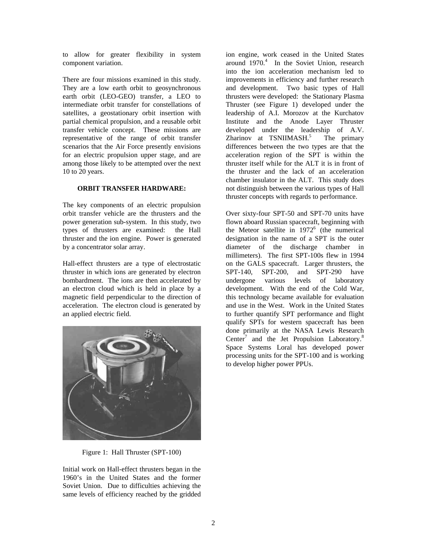to allow for greater flexibility in system component variation.

There are four missions examined in this study. They are a low earth orbit to geosynchronous earth orbit (LEO-GEO) transfer, a LEO to intermediate orbit transfer for constellations of satellites, a geostationary orbit insertion with partial chemical propulsion, and a reusable orbit transfer vehicle concept. These missions are representative of the range of orbit transfer scenarios that the Air Force presently envisions for an electric propulsion upper stage, and are among those likely to be attempted over the next 10 to 20 years.

# **ORBIT TRANSFER HARDWARE:**

The key components of an electric propulsion orbit transfer vehicle are the thrusters and the power generation sub-system. In this study, two types of thrusters are examined: the Hall thruster and the ion engine. Power is generated by a concentrator solar array.

Hall-effect thrusters are a type of electrostatic thruster in which ions are generated by electron bombardment. The ions are then accelerated by an electron cloud which is held in place by a magnetic field perpendicular to the direction of acceleration. The electron cloud is generated by an applied electric field.



Figure 1: Hall Thruster (SPT-100)

Initial work on Hall-effect thrusters began in the 1960's in the United States and the former Soviet Union. Due to difficulties achieving the same levels of efficiency reached by the gridded ion engine, work ceased in the United States around  $1970<sup>4</sup>$  In the Soviet Union, research into the ion acceleration mechanism led to improvements in efficiency and further research and development. Two basic types of Hall thrusters were developed: the Stationary Plasma Thruster (see Figure 1) developed under the leadership of A.I. Morozov at the Kurchatov Institute and the Anode Layer Thruster developed under the leadership of A.V. Zharinov at TSNIIMASH.<sup>5</sup> The primary differences between the two types are that the acceleration region of the SPT is within the thruster itself while for the ALT it is in front of the thruster and the lack of an acceleration chamber insulator in the ALT. This study does not distinguish between the various types of Hall thruster concepts with regards to performance.

Over sixty-four SPT-50 and SPT-70 units have flown aboard Russian spacecraft, beginning with the Meteor satellite in  $1972^6$  (the numerical designation in the name of a SPT is the outer diameter of the discharge chamber in millimeters). The first SPT-100s flew in 1994 on the GALS spacecraft. Larger thrusters, the SPT-140, SPT-200, and SPT-290 have undergone various levels of laboratory development. With the end of the Cold War, this technology became available for evaluation and use in the West. Work in the United States to further quantify SPT performance and flight qualify SPTs for western spacecraft has been done primarily at the NASA Lewis Research Center<sup>7</sup> and the Jet Propulsion Laboratory.<sup>8</sup> Space Systems Loral has developed power processing units for the SPT-100 and is working to develop higher power PPUs.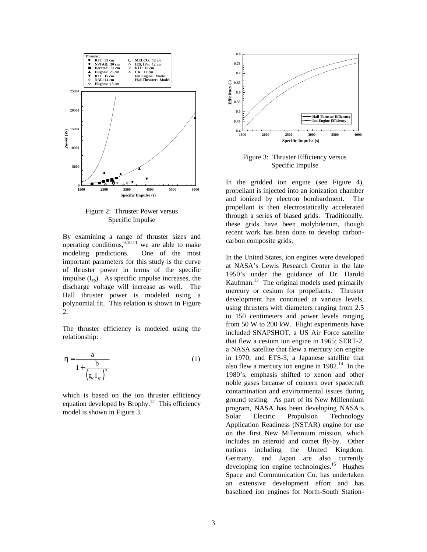

Figure 2: Thruster Power versus Specific Impulse

By examining a range of thruster sizes and operating conditions,  $9,10,11$  we are able to make modeling predictions. One of the most important parameters for this study is the curve of thruster power in terms of the specific impulse  $(I_{\rm SD})$ . As specific impulse increases, the discharge voltage will increase as well. The Hall thruster power is modeled using a polynomial fit. This relation is shown in Figure 2.

The thruster efficiency is modeled using the relationship:

$$
\eta = \frac{a}{1 + \frac{b}{\left(g_o I_{sp}\right)^2}}
$$
(1)

which is based on the ion thruster efficiency equation developed by Brophy.<sup>12</sup> This efficiency model is shown in Figure 3.



Figure 3: Thruster Efficiency versus Specific Impulse

In the gridded ion engine (see Figure 4), propellant is injected into an ionization chamber and ionized by electron bombardment. The propellant is then electrostatically accelerated through a series of biased grids. Traditionally, these grids have been molybdenum, though recent work has been done to develop carboncarbon composite grids.

In the United States, ion engines were developed at NASA's Lewis Research Center in the late 1950's under the guidance of Dr. Harold Kaufman.<sup>13</sup> The original models used primarily mercury or cesium for propellants. Thruster development has continued at various levels, using thrusters with diameters ranging from 2.5 to 150 centimeters and power levels ranging from 50 W to 200 kW. Flight experiments have included SNAPSHOT, a US Air Force satellite that flew a cesium ion engine in 1965; SERT-2, a NASA satellite that flew a mercury ion engine in 1970; and ETS-3, a Japanese satellite that also flew a mercury ion engine in  $1982<sup>14</sup>$  In the 1980's, emphasis shifted to xenon and other noble gases because of concern over spacecraft contamination and environmental issues during ground testing. As part of its New Millennium program, NASA has been developing NASA's Solar Electric Propulsion Technology Application Readiness (NSTAR) engine for use on the first New Millennium mission, which includes an asteroid and comet fly-by. Other nations including the United Kingdom, Germany, and Japan are also currently developing ion engine technologies.<sup>15</sup> Hughes Space and Communication Co. has undertaken an extensive development effort and has baselined ion engines for North-South Station-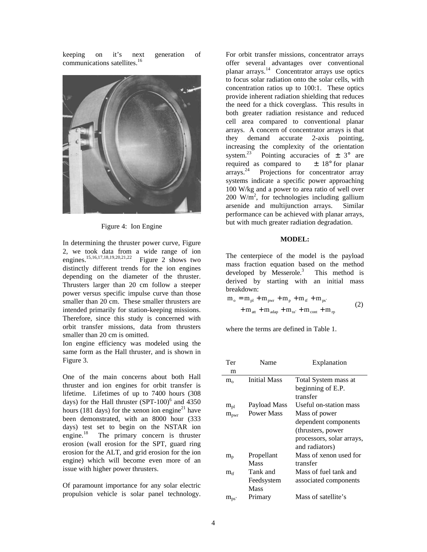keeping on it's next generation of communications satellites.<sup>16</sup>



Figure 4: Ion Engine

In determining the thruster power curve, Figure 2, we took data from a wide range of ion engines.<sup>15,16,17,18,19,20,21,22</sup> Figure 2 shows two distinctly different trends for the ion engines depending on the diameter of the thruster. Thrusters larger than 20 cm follow a steeper power versus specific impulse curve than those smaller than 20 cm. These smaller thrusters are intended primarily for station-keeping missions. Therefore, since this study is concerned with orbit transfer missions, data from thrusters smaller than 20 cm is omitted.

Ion engine efficiency was modeled using the same form as the Hall thruster, and is shown in Figure 3.

One of the main concerns about both Hall thruster and ion engines for orbit transfer is lifetime. Lifetimes of up to 7400 hours (308 days) for the Hall thruster  $(SPT-100)^6$  and 4350 hours (181 days) for the xenon ion engine<sup>21</sup> have been demonstrated, with an 8000 hour (333 days) test set to begin on the NSTAR ion engine. $18$  The primary concern is thruster erosion (wall erosion for the SPT, guard ring erosion for the ALT, and grid erosion for the ion engine) which will become even more of an issue with higher power thrusters.

Of paramount importance for any solar electric propulsion vehicle is solar panel technology.

For orbit transfer missions, concentrator arrays offer several advantages over conventional planar arrays.<sup>14</sup> Concentrator arrays use optics to focus solar radiation onto the solar cells, with concentration ratios up to 100:1. These optics provide inherent radiation shielding that reduces the need for a thick coverglass. This results in both greater radiation resistance and reduced cell area compared to conventional planar arrays. A concern of concentrator arrays is that they demand accurate 2-axis pointing, increasing the complexity of the orientation system.<sup>23</sup> Pointing accuracies of  $\pm$  3° are required as compared to  $\pm$  18° for planar arrays.<sup>24</sup> Projections for concentrator array Projections for concentrator array systems indicate a specific power approaching 100 W/kg and a power to area ratio of well over 200 W/m<sup>2</sup>, for technologies including gallium arsenide and multijunction arrays. Similar performance can be achieved with planar arrays, but with much greater radiation degradation.

### **MODEL:**

The centerpiece of the model is the payload mass fraction equation based on the method developed by Messerole.<sup>3</sup> This method is derived by starting with an initial mass breakdown:

$$
m_o = m_{pl} + m_{pwr} + m_p + m_{tf} + m_{ps'}
$$
  
+  $m_{att} + m_{adap} + m_{ss'} + m_{cont} + m_{rp}$  (2)

where the terms are defined in Table 1.

| Ter              | Name                | Explanation               |
|------------------|---------------------|---------------------------|
| m                |                     |                           |
| $m_{o}$          | <b>Initial Mass</b> | Total System mass at      |
|                  |                     | beginning of E.P.         |
|                  |                     | transfer                  |
| $m_{pl}$         | Payload Mass        | Useful on-station mass    |
| $m_{\text{pwr}}$ | Power Mass          | Mass of power             |
|                  |                     | dependent components      |
|                  |                     | (thrusters, power)        |
|                  |                     | processors, solar arrays, |
|                  |                     | and radiators)            |
| $m_{p}$          | Propellant          | Mass of xenon used for    |
|                  | Mass                | transfer                  |
| $m_{\rm tf}$     | Tank and            | Mass of fuel tank and     |
|                  | Feedsystem          | associated components     |
|                  | Mass                |                           |
| $m_{ps}$         | Primary             | Mass of satellite's       |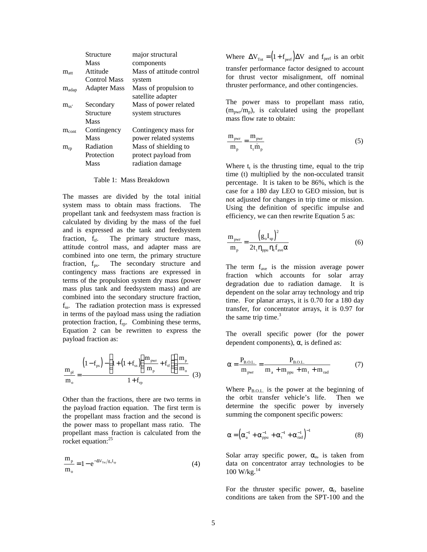|                   | Structure           | major structural         |
|-------------------|---------------------|--------------------------|
|                   | Mass                | components               |
| $m_{\rm att}$     | Attitude            | Mass of attitude control |
|                   | <b>Control Mass</b> | system                   |
| $m_{\text{adap}}$ | Adapter Mass        | Mass of propulsion to    |
|                   |                     | satellite adapter        |
| $m_{ss}$          | Secondary           | Mass of power related    |
|                   | Structure           | system structures        |
|                   | Mass                |                          |
| $m_{\text{cont}}$ | Contingency         | Contingency mass for     |
|                   | Mass                | power related systems    |
| $m_{rp}$          | Radiation           | Mass of shielding to     |
|                   | Protection          | protect payload from     |
|                   | Mass                | radiation damage         |
|                   |                     |                          |

Table 1: Mass Breakdown

The masses are divided by the total initial system mass to obtain mass fractions. The propellant tank and feedsystem mass fraction is calculated by dividing by the mass of the fuel and is expressed as the tank and feedsystem fraction,  $f_{\text{tf}}$ . The primary structure mass, attitude control mass, and adapter mass are combined into one term, the primary structure fraction, f<sub>ps</sub>. The secondary structure and contingency mass fractions are expressed in terms of the propulsion system dry mass (power mass plus tank and feedsystem mass) and are combined into the secondary structure fraction, fss. The radiation protection mass is expressed in terms of the payload mass using the radiation protection fraction, f<sub>rp</sub>. Combining these terms, Equation 2 can be rewritten to express the payload fraction as:

$$
\frac{m_{pl}}{m_o} = \frac{\left(1 - f_{ps}\right) - \left(1 + \left(1 + f_{ss}\right)\left(\frac{m_{pwr}}{m_p} + f_{tf}\right)\right) \frac{m_p}{m_o}}{1 + f_{rp}} \tag{3}
$$

Other than the fractions, there are two terms in the payload fraction equation. The first term is the propellant mass fraction and the second is the power mass to propellant mass ratio. The propellant mass fraction is calculated from the rocket equation:<sup>25</sup>

$$
\frac{m_{p}}{m_{o}} = 1 - e^{-\Delta V_{\text{Tu}}/g_{o}I_{sp}}
$$
(4)

Where  $\Delta V_{\text{Tot}} = (1 + f_{\text{perf}}) \Delta V$  and  $f_{\text{perf}}$  is an orbit transfer performance factor designed to account for thrust vector misalignment, off nominal thruster performance, and other contingencies.

The power mass to propellant mass ratio,  $(m_{\text{nwr}}/m_{\text{n}})$ , is calculated using the propellant mass flow rate to obtain:

$$
\frac{m_{\text{pwr}}}{m_{\text{p}}} = \frac{m_{\text{pwr}}}{t_{\text{t}} \dot{m}_{\text{p}}}
$$
(5)

Where  $t_t$  is the thrusting time, equal to the trip time (t) multiplied by the non-occulated transit percentage. It is taken to be 86%, which is the case for a 180 day LEO to GEO mission, but is not adjusted for changes in trip time or mission. Using the definition of specific impulse and efficiency, we can then rewrite Equation 5 as:

$$
\frac{m_{\text{pwr}}}{m_{\text{p}}} = \frac{\left(g_{\text{o}}I_{\text{sp}}\right)^{2}}{2t_{\text{t}}\eta_{\text{ppu}}\eta_{\text{t}}f_{\text{ave}}\alpha}
$$
(6)

The term  $f_{ave}$  is the mission average power fraction which accounts for solar array degradation due to radiation damage. It is dependent on the solar array technology and trip time. For planar arrays, it is 0.70 for a 180 day transfer, for concentrator arrays, it is 0.97 for the same trip time. $3$ 

The overall specific power (for the power dependent components),  $\alpha$ , is defined as:

$$
\alpha = \frac{P_{B.O.L.}}{m_{pwr}} = \frac{P_{B.O.L.}}{m_a + m_{ppu} + m_t + m_{rad}} \tag{7}
$$

Where  $P_{B.O.L.}$  is the power at the beginning of the orbit transfer vehicle's life. Then we determine the specific power by inversely summing the component specific powers:

$$
\alpha = \left(\alpha_{\rm a}^{-1} + \alpha_{\rm ppu}^{-1} + \alpha_{\rm t}^{-1} + \alpha_{\rm rad}^{-1}\right)^{-1}
$$
 (8)

Solar array specific power,  $\alpha_a$ , is taken from data on concentrator array technologies to be 100 W/kg.<sup>14</sup>

For the thruster specific power,  $\alpha_t$ , baseline conditions are taken from the SPT-100 and the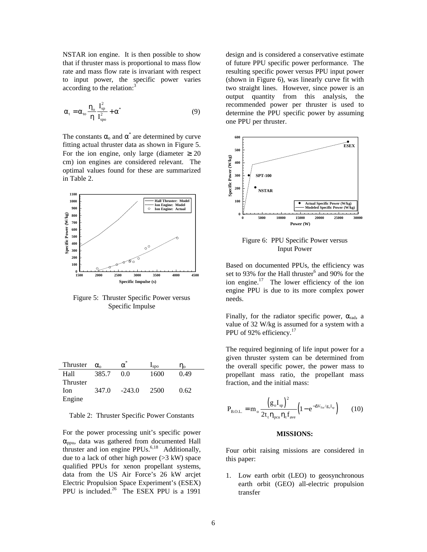NSTAR ion engine. It is then possible to show that if thruster mass is proportional to mass flow rate and mass flow rate is invariant with respect to input power, the specific power varies according to the relation:<sup>3</sup>

$$
\alpha_{t} = \alpha_{\text{to}} \frac{\eta_{\text{o}}}{\eta} \frac{I_{\text{sp}}^{2}}{I_{\text{sp}}^{2}} + \alpha^{*}
$$
 (9)

The constants  $\alpha_0$  and  $\alpha^*$  are determined by curve fitting actual thruster data as shown in Figure 5. For the ion engine, only large (diameter  $\geq 20$ cm) ion engines are considered relevant. The optimal values found for these are summarized in Table 2.



Figure 5: Thruster Specific Power versus Specific Impulse

| Thruster | $\alpha$ | $\alpha$ | $I_{SDO}$ | $\eta_{\alpha}$ |
|----------|----------|----------|-----------|-----------------|
| Hall     | 385.7    | 0.0      | 1600      | 0.49            |
| Thruster |          |          |           |                 |
| Ion      | 347.0    | $-243.0$ | 2500      | 0.62            |
| Engine   |          |          |           |                 |

Table 2: Thruster Specific Power Constants

For the power processing unit's specific power  $\alpha_{\text{opu}}$ , data was gathered from documented Hall thruster and ion engine PPUs.<sup>6,18</sup> Additionally, due to a lack of other high power  $(>3 \text{ kW})$  space qualified PPUs for xenon propellant systems, data from the US Air Force's 26 kW arcjet Electric Propulsion Space Experiment's (ESEX) PPU is included.<sup>26</sup> The ESEX PPU is a 1991

design and is considered a conservative estimate of future PPU specific power performance. The resulting specific power versus PPU input power (shown in Figure 6), was linearly curve fit with two straight lines. However, since power is an output quantity from this analysis, the recommended power per thruster is used to determine the PPU specific power by assuming one PPU per thruster.



Figure 6: PPU Specific Power versus Input Power

Based on documented PPUs, the efficiency was set to 93% for the Hall thruster $^6$  and 90% for the ion engine.<sup>17</sup> The lower efficiency of the ion engine PPU is due to its more complex power needs.

Finally, for the radiator specific power,  $\alpha_{rad}$ , a value of 32 W/kg is assumed for a system with a PPU of 92% efficiency.<sup>17</sup>

The required beginning of life input power for a given thruster system can be determined from the overall specific power, the power mass to propellant mass ratio, the propellant mass fraction, and the initial mass:

$$
P_{B.O.L.} = m_o \frac{\left(g_o I_{sp}\right)^2}{2t_t \eta_{peu} \eta_t f_{ave}} \left(1 - e^{-\Delta V_{T\alpha}/g_o I_{sp}}\right)
$$
 (10)

#### **MISSIONS:**

Four orbit raising missions are considered in this paper:

1. Low earth orbit (LEO) to geosynchronous earth orbit (GEO) all-electric propulsion transfer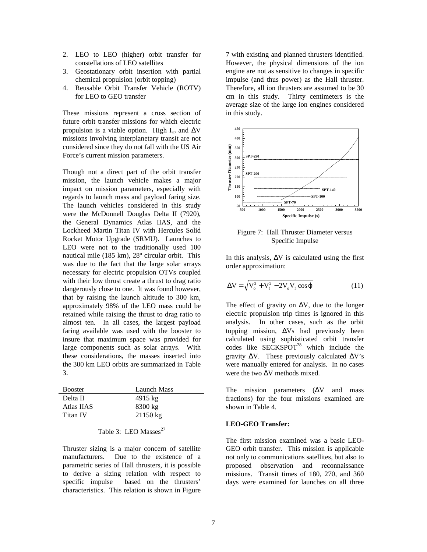- 2. LEO to LEO (higher) orbit transfer for constellations of LEO satellites
- 3. Geostationary orbit insertion with partial chemical propulsion (orbit topping)
- 4. Reusable Orbit Transfer Vehicle (ROTV) for LEO to GEO transfer

These missions represent a cross section of future orbit transfer missions for which electric propulsion is a viable option. High  $I_{\rm{sp}}$  and  $\Delta V$ missions involving interplanetary transit are not considered since they do not fall with the US Air Force's current mission parameters.

Though not a direct part of the orbit transfer mission, the launch vehicle makes a major impact on mission parameters, especially with regards to launch mass and payload faring size. The launch vehicles considered in this study were the McDonnell Douglas Delta II (7920), the General Dynamics Atlas IIAS, and the Lockheed Martin Titan IV with Hercules Solid Rocket Motor Upgrade (SRMU). Launches to LEO were not to the traditionally used 100 nautical mile (185 km), 28º circular orbit. This was due to the fact that the large solar arrays necessary for electric propulsion OTVs coupled with their low thrust create a thrust to drag ratio dangerously close to one. It was found however, that by raising the launch altitude to 300 km, approximately 98% of the LEO mass could be retained while raising the thrust to drag ratio to almost ten. In all cases, the largest payload faring available was used with the booster to insure that maximum space was provided for large components such as solar arrays. With these considerations, the masses inserted into the 300 km LEO orbits are summarized in Table 3.

| <b>Booster</b> | Launch Mass        |
|----------------|--------------------|
| Delta II       | $4915$ kg          |
| Atlas IIAS     | $8300 \text{ kg}$  |
| Titan IV       | $21150 \text{ kg}$ |

# Table 3: LEO Masses $^{27}$

Thruster sizing is a major concern of satellite manufacturers. Due to the existence of a parametric series of Hall thrusters, it is possible to derive a sizing relation with respect to specific impulse based on the thrusters' characteristics. This relation is shown in Figure 7 with existing and planned thrusters identified. However, the physical dimensions of the ion engine are not as sensitive to changes in specific impulse (and thus power) as the Hall thruster. Therefore, all ion thrusters are assumed to be 30 cm in this study. Thirty centimeters is the average size of the large ion engines considered in this study.



Figure 7: Hall Thruster Diameter versus Specific Impulse

In this analysis,  $\Delta V$  is calculated using the first order approximation:

$$
\Delta V = \sqrt{V_o^2 + V_f^2 - 2V_oV_f \cos \varphi}
$$
 (11)

The effect of gravity on  $\Delta V$ , due to the longer electric propulsion trip times is ignored in this analysis. In other cases, such as the orbit topping mission,  $\Delta Vs$  had previously been calculated using sophisticated orbit transfer codes like  $SECKSPOT<sup>28</sup>$  which include the gravity  $\Delta V$ . These previously calculated  $\Delta V$ 's were manually entered for analysis. In no cases were the two ΔV methods mixed.

The mission parameters  $(ΔV)$  and mass fractions) for the four missions examined are shown in Table 4.

## **LEO-GEO Transfer:**

The first mission examined was a basic LEO-GEO orbit transfer. This mission is applicable not only to communications satellites, but also to proposed observation and reconnaissance missions. Transit times of 180, 270, and 360 days were examined for launches on all three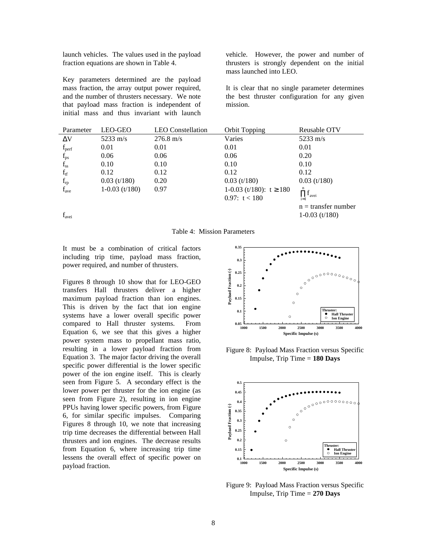launch vehicles. The values used in the payload fraction equations are shown in Table 4.

Key parameters determined are the payload mass fraction, the array output power required, and the number of thrusters necessary. We note that payload mass fraction is independent of initial mass and thus invariant with launch vehicle. However, the power and number of thrusters is strongly dependent on the initial mass launched into LEO.

It is clear that no single parameter determines the best thruster configuration for any given mission.

| Parameter         | LEO-GEO          | <b>LEO</b> Constellation | <b>Orbit Topping</b>        | Reusable OTV                           |
|-------------------|------------------|--------------------------|-----------------------------|----------------------------------------|
| $\Delta V$        | 5233 m/s         | $276.8 \text{ m/s}$      | Varies                      | $5233 \text{ m/s}$                     |
| $f_{\text{perf}}$ | 0.01             | 0.01                     | 0.01                        | 0.01                                   |
| $f_{\rm ps}$      | 0.06             | 0.06                     | 0.06                        | 0.20                                   |
| $f_{ss}$          | 0.10             | 0.10                     | 0.10                        | 0.10                                   |
| $f_{tf}$          | 0.12             | 0.12                     | 0.12                        | 0.12                                   |
| $f_{rp}$          | $0.03$ (t/180)   | 0.20                     | $0.03$ (t/180)              | $0.03$ (t/180)                         |
| $f_{\text{ave}}$  | $1-0.03$ (t/180) | 0.97                     | 1-0.03 (t/180): $t \ge 180$ | n                                      |
|                   |                  |                          | 0.97: $t < 180$             | $\prod_{i=1} \mathbf{f}_{\text{avei}}$ |
|                   |                  |                          |                             | $n =$ transfer number                  |
| $f_{\text{avei}}$ |                  |                          |                             | $1-0.03$ (t/180)                       |

Table 4: Mission Parameters

It must be a combination of critical factors including trip time, payload mass fraction, power required, and number of thrusters.

Figures 8 through 10 show that for LEO-GEO transfers Hall thrusters deliver a higher maximum payload fraction than ion engines. This is driven by the fact that ion engine systems have a lower overall specific power compared to Hall thruster systems. From Equation 6, we see that this gives a higher power system mass to propellant mass ratio, resulting in a lower payload fraction from Equation 3. The major factor driving the overall specific power differential is the lower specific power of the ion engine itself. This is clearly seen from Figure 5. A secondary effect is the lower power per thruster for the ion engine (as seen from Figure 2), resulting in ion engine PPUs having lower specific powers, from Figure 6, for similar specific impulses. Comparing Figures 8 through 10, we note that increasing trip time decreases the differential between Hall thrusters and ion engines. The decrease results from Equation 6, where increasing trip time lessens the overall effect of specific power on payload fraction.



Figure 8: Payload Mass Fraction versus Specific Impulse, Trip Time = **180 Days**



Figure 9: Payload Mass Fraction versus Specific Impulse, Trip Time = **270 Days**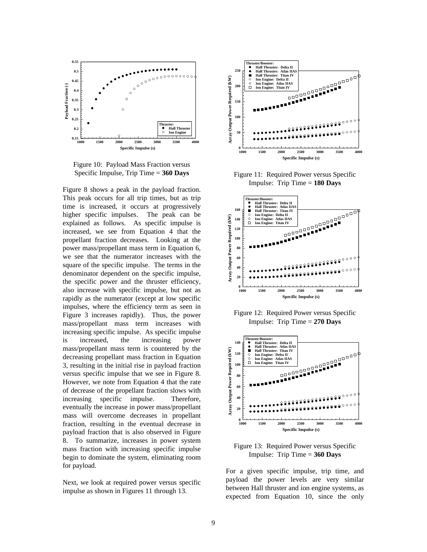

Figure 10: Payload Mass Fraction versus Specific Impulse, Trip Time = **360 Days**

Figure 8 shows a peak in the payload fraction. This peak occurs for all trip times, but as trip time is increased, it occurs at progressively higher specific impulses. The peak can be explained as follows. As specific impulse is increased, we see from Equation 4 that the propellant fraction decreases. Looking at the power mass/propellant mass term in Equation 6, we see that the numerator increases with the square of the specific impulse. The terms in the denominator dependent on the specific impulse, the specific power and the thruster efficiency, also increase with specific impulse, but not as rapidly as the numerator (except at low specific impulses, where the efficiency term as seen in Figure 3 increases rapidly). Thus, the power mass/propellant mass term increases with increasing specific impulse. As specific impulse is increased, the increasing power mass/propellant mass term is countered by the decreasing propellant mass fraction in Equation 3, resulting in the initial rise in payload fraction versus specific impulse that we see in Figure 8. However, we note from Equation 4 that the rate of decrease of the propellant fraction slows with increasing specific impulse. Therefore, eventually the increase in power mass/propellant mass will overcome decreases in propellant fraction, resulting in the eventual decrease in payload fraction that is also observed in Figure 8. To summarize, increases in power system mass fraction with increasing specific impulse begin to dominate the system, eliminating room for payload.

Next, we look at required power versus specific impulse as shown in Figures 11 through 13.



Figure 11: Required Power versus Specific Impulse: Trip Time = **180 Days**



Figure 12: Required Power versus Specific Impulse: Trip Time = **270 Days**



Figure 13: Required Power versus Specific Impulse: Trip Time = **360 Days**

For a given specific impulse, trip time, and payload the power levels are very similar between Hall thruster and ion engine systems, as expected from Equation 10, since the only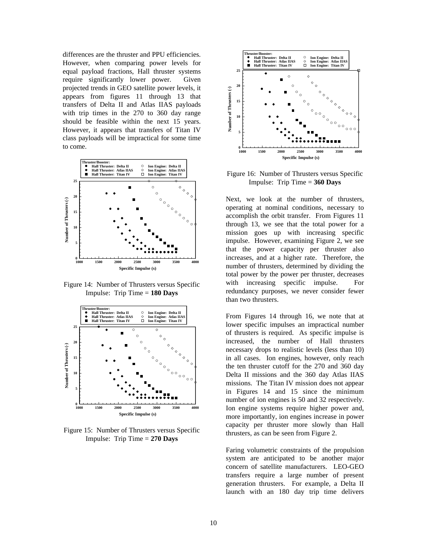differences are the thruster and PPU efficiencies. However, when comparing power levels for equal payload fractions, Hall thruster systems require significantly lower power. Given projected trends in GEO satellite power levels, it appears from figures 11 through 13 that transfers of Delta II and Atlas IIAS payloads with trip times in the 270 to 360 day range should be feasible within the next 15 years. However, it appears that transfers of Titan IV class payloads will be impractical for some time to come.



Figure 14: Number of Thrusters versus Specific Impulse: Trip Time = **180 Days**



Figure 15: Number of Thrusters versus Specific Impulse: Trip Time = **270 Days**



Figure 16: Number of Thrusters versus Specific Impulse: Trip Time = **360 Days**

Next, we look at the number of thrusters, operating at nominal conditions, necessary to accomplish the orbit transfer. From Figures 11 through 13, we see that the total power for a mission goes up with increasing specific impulse. However, examining Figure 2, we see that the power capacity per thruster also increases, and at a higher rate. Therefore, the number of thrusters, determined by dividing the total power by the power per thruster, decreases with increasing specific impulse. For redundancy purposes, we never consider fewer than two thrusters.

From Figures 14 through 16, we note that at lower specific impulses an impractical number of thrusters is required. As specific impulse is increased, the number of Hall thrusters necessary drops to realistic levels (less than 10) in all cases. Ion engines, however, only reach the ten thruster cutoff for the 270 and 360 day Delta II missions and the 360 day Atlas IIAS missions. The Titan IV mission does not appear in Figures 14 and 15 since the minimum number of ion engines is 50 and 32 respectively. Ion engine systems require higher power and, more importantly, ion engines increase in power capacity per thruster more slowly than Hall thrusters, as can be seen from Figure 2.

Faring volumetric constraints of the propulsion system are anticipated to be another major concern of satellite manufacturers. LEO-GEO transfers require a large number of present generation thrusters. For example, a Delta II launch with an 180 day trip time delivers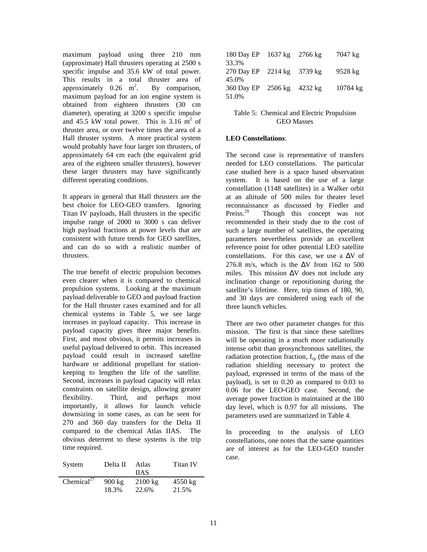maximum payload using three 210 mm (approximate) Hall thrusters operating at 2500 s specific impulse and 35.6 kW of total power. This results in a total thruster area of approximately  $0.26 \text{ m}^2$ . By comparison, maximum payload for an ion engine system is obtained from eighteen thrusters (30 cm diameter), operating at 3200 s specific impulse and 45.5 kW total power. This is  $3.16 \text{ m}^2$  of thruster area, or over twelve times the area of a Hall thruster system. A more practical system would probably have four larger ion thrusters, of approximately 64 cm each (the equivalent grid area of the eighteen smaller thrusters), however these larger thrusters may have significantly different operating conditions.

It appears in general that Hall thrusters are the best choice for LEO-GEO transfers. Ignoring Titan IV payloads, Hall thrusters in the specific impulse range of 2000 to 3000 s can deliver high payload fractions at power levels that are consistent with future trends for GEO satellites, and can do so with a realistic number of thrusters.

The true benefit of electric propulsion becomes even clearer when it is compared to chemical propulsion systems. Looking at the maximum payload deliverable to GEO and payload fraction for the Hall thruster cases examined and for all chemical systems in Table 5, we see large increases in payload capacity. This increase in payload capacity gives three major benefits. First, and most obvious, it permits increases in useful payload delivered to orbit. This increased payload could result in increased satellite hardware or additional propellant for stationkeeping to lengthen the life of the satellite. Second, increases in payload capacity will relax constraints on satellite design, allowing greater flexibility. Third, and perhaps most importantly, it allows for launch vehicle downsizing in some cases, as can be seen for 270 and 360 day transfers for the Delta II compared to the chemical Atlas IIAS. The obvious deterrent to these systems is the trip time required.

| System                 | Delta II         | Atlas             | Titan IV          |
|------------------------|------------------|-------------------|-------------------|
|                        |                  | <b>HAS</b>        |                   |
| Chemical <sup>27</sup> | $900 \text{ kg}$ | $2100 \text{ kg}$ | $4550 \text{ kg}$ |
|                        | 18.3%            | 22.6%             | 21.5%             |

| 180 Day EP 1637 kg         | $2766 \text{ kg}$ | 7047 kg  |
|----------------------------|-------------------|----------|
| 33.3%                      |                   |          |
| 270 Day EP 2214 kg 3739 kg |                   | 9528 kg  |
| 45.0%                      |                   |          |
| 360 Day EP 2506 kg 4232 kg |                   | 10784 kg |
| 51.0%                      |                   |          |

# Table 5: Chemical and Electric Propulsion GEO Masses

# **LEO Constellations**:

The second case is representative of transfers needed for LEO constellations. The particular case studied here is a space based observation system. It is based on the use of a large constellation (1148 satellites) in a Walker orbit at an altitude of 500 miles for theater level reconnaissance as discussed by Fiedler and Preiss.<sup>29</sup> Though this concept was not Though this concept was not recommended in their study due to the cost of such a large number of satellites, the operating parameters nevertheless provide an excellent reference point for other potential LEO satellite constellations. For this case, we use a ΔV of 276.8 m/s, which is the  $\Delta V$  from 162 to 500 miles. This mission  $\Delta V$  does not include any inclination change or repositioning during the satellite's lifetime. Here, trip times of 180, 90, and 30 days are considered using each of the three launch vehicles.

There are two other parameter changes for this mission. The first is that since these satellites will be operating in a much more radiationally intense orbit than geosynchronous satellites, the radiation protection fraction,  $f_{\rm rp}$  (the mass of the radiation shielding necessary to protect the payload, expressed in terms of the mass of the payload), is set to 0.20 as compared to 0.03 to 0.06 for the LEO-GEO case. Second, the average power fraction is maintained at the 180 day level, which is 0.97 for all missions. The parameters used are summarized in Table 4.

In proceeding to the analysis of LEO constellations, one notes that the same quantities are of interest as for the LEO-GEO transfer case.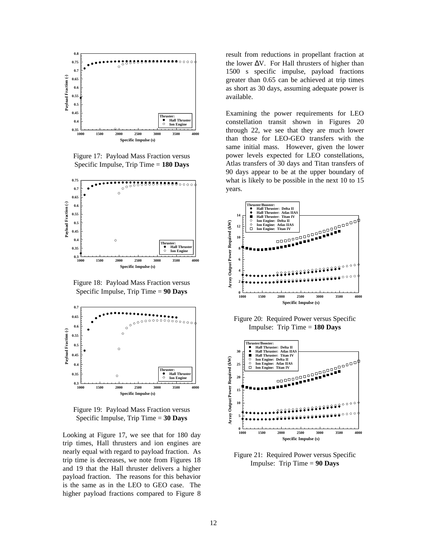

Figure 17: Payload Mass Fraction versus Specific Impulse, Trip Time = **180 Days**



Figure 18: Payload Mass Fraction versus Specific Impulse, Trip Time = **90 Days**



Figure 19: Payload Mass Fraction versus Specific Impulse, Trip Time = **30 Days**

Looking at Figure 17, we see that for 180 day trip times, Hall thrusters and ion engines are nearly equal with regard to payload fraction. As trip time is decreases, we note from Figures 18 and 19 that the Hall thruster delivers a higher payload fraction. The reasons for this behavior is the same as in the LEO to GEO case. The higher payload fractions compared to Figure 8

result from reductions in propellant fraction at the lower  $\Delta V$ . For Hall thrusters of higher than 1500 s specific impulse, payload fractions greater than 0.65 can be achieved at trip times as short as 30 days, assuming adequate power is available.

Examining the power requirements for LEO constellation transit shown in Figures 20 through 22, we see that they are much lower than those for LEO-GEO transfers with the same initial mass. However, given the lower power levels expected for LEO constellations, Atlas transfers of 30 days and Titan transfers of 90 days appear to be at the upper boundary of what is likely to be possible in the next 10 to 15 years.



Figure 20: Required Power versus Specific Impulse: Trip Time = **180 Days**



Figure 21: Required Power versus Specific Impulse: Trip Time = **90 Days**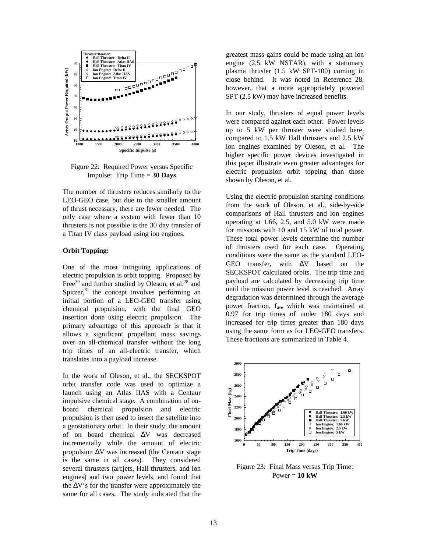

Figure 22: Required Power versus Specific Impulse: Trip Time = **30 Days**

The number of thrusters reduces similarly to the LEO-GEO case, but due to the smaller amount of thrust necessary, there are fewer needed. The only case where a system with fewer than 10 thrusters is not possible is the 30 day transfer of a Titan IV class payload using ion engines.

### **Orbit Topping:**

One of the most intriguing applications of electric propulsion is orbit topping. Proposed by Free<sup>30</sup> and further studied by Oleson, et al.<sup>28</sup> and Spitzer, $31$  the concept involves performing an initial portion of a LEO-GEO transfer using chemical propulsion, with the final GEO insertion done using electric propulsion. The primary advantage of this approach is that it allows a significant propellant mass savings over an all-chemical transfer without the long trip times of an all-electric transfer, which translates into a payload increase.

In the work of Oleson, et al., the SECKSPOT orbit transfer code was used to optimize a launch using an Atlas IIAS with a Centaur impulsive chemical stage. A combination of onboard chemical propulsion and electric propulsion is then used to insert the satellite into a geostationary orbit. In their study, the amount of on board chemical ΔV was decreased incrementally while the amount of electric propulsion ΔV was increased (the Centaur stage is the same in all cases). They considered several thrusters (arcjets, Hall thrusters, and ion engines) and two power levels, and found that the  $\Delta V$ 's for the transfer were approximately the same for all cases. The study indicated that the greatest mass gains could be made using an ion engine (2.5 kW NSTAR), with a stationary plasma thruster (1.5 kW SPT-100) coming in close behind. It was noted in Reference 28, however, that a more appropriately powered SPT (2.5 kW) may have increased benefits.

In our study, thrusters of equal power levels were compared against each other. Power levels up to 5 kW per thruster were studied here, compared to 1.5 kW Hall thrusters and 2.5 kW ion engines examined by Oleson, et al. The higher specific power devices investigated in this paper illustrate even greater advantages for electric propulsion orbit topping than those shown by Oleson, et al.

Using the electric propulsion starting conditions from the work of Oleson, et al., side-by-side comparisons of Hall thrusters and ion engines operating at 1.66, 2.5, and 5.0 kW were made for missions with 10 and 15 kW of total power. These total power levels determine the number of thrusters used for each case. Operating conditions were the same as the standard LEO-GEO transfer, with ΔV based on the SECKSPOT calculated orbits. The trip time and payload are calculated by decreasing trip time until the mission power level is reached. Array degradation was determined through the average power fraction, f<sub>ave</sub> which was maintained at 0.97 for trip times of under 180 days and increased for trip times greater than 180 days using the same form as for LEO-GEO transfers. These fractions are summarized in Table 4.



Figure 23: Final Mass versus Trip Time: Power = **10 kW**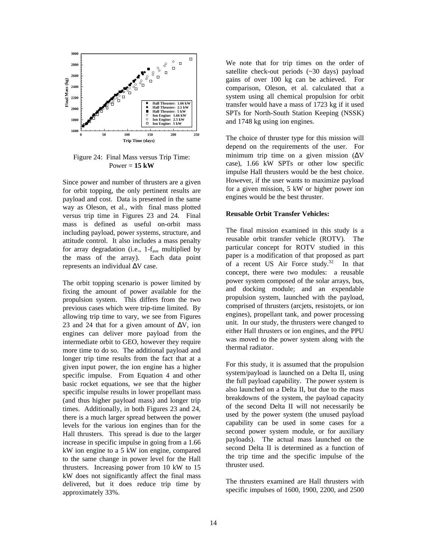

Figure 24: Final Mass versus Trip Time: Power = **15 kW**

Since power and number of thrusters are a given for orbit topping, the only pertinent results are payload and cost. Data is presented in the same way as Oleson, et al., with final mass plotted versus trip time in Figures 23 and 24. Final mass is defined as useful on-orbit mass including payload, power systems, structure, and attitude control. It also includes a mass penalty for array degradation (i.e.,  $1-f_{ave}$  multiplied by the mass of the array). Each data point represents an individual ΔV case.

The orbit topping scenario is power limited by fixing the amount of power available for the propulsion system. This differs from the two previous cases which were trip-time limited. By allowing trip time to vary, we see from Figures 23 and 24 that for a given amount of  $\Delta V$ , ion engines can deliver more payload from the intermediate orbit to GEO, however they require more time to do so. The additional payload and longer trip time results from the fact that at a given input power, the ion engine has a higher specific impulse. From Equation 4 and other basic rocket equations, we see that the higher specific impulse results in lower propellant mass (and thus higher payload mass) and longer trip times. Additionally, in both Figures 23 and 24, there is a much larger spread between the power levels for the various ion engines than for the Hall thrusters. This spread is due to the larger increase in specific impulse in going from a 1.66 kW ion engine to a 5 kW ion engine, compared to the same change in power level for the Hall thrusters. Increasing power from 10 kW to 15 kW does not significantly affect the final mass delivered, but it does reduce trip time by approximately 33%.

We note that for trip times on the order of satellite check-out periods (~30 days) payload gains of over 100 kg can be achieved. For comparison, Oleson, et al. calculated that a system using all chemical propulsion for orbit transfer would have a mass of 1723 kg if it used SPTs for North-South Station Keeping (NSSK) and 1748 kg using ion engines.

The choice of thruster type for this mission will depend on the requirements of the user. For minimum trip time on a given mission (ΔV case), 1.66 kW SPTs or other low specific impulse Hall thrusters would be the best choice. However, if the user wants to maximize payload for a given mission, 5 kW or higher power ion engines would be the best thruster.

### **Reusable Orbit Transfer Vehicles:**

The final mission examined in this study is a reusable orbit transfer vehicle (ROTV). The particular concept for ROTV studied in this paper is a modification of that proposed as part of a recent US Air Force study.<sup>32</sup> In that concept, there were two modules: a reusable power system composed of the solar arrays, bus, and docking module; and an expendable propulsion system, launched with the payload, comprised of thrusters (arcjets, resistojets, or ion engines), propellant tank, and power processing unit. In our study, the thrusters were changed to either Hall thrusters or ion engines, and the PPU was moved to the power system along with the thermal radiator.

For this study, it is assumed that the propulsion system/payload is launched on a Delta II, using the full payload capability. The power system is also launched on a Delta II, but due to the mass breakdowns of the system, the payload capacity of the second Delta II will not necessarily be used by the power system (the unused payload capability can be used in some cases for a second power system module, or for auxiliary payloads). The actual mass launched on the second Delta II is determined as a function of the trip time and the specific impulse of the thruster used.

The thrusters examined are Hall thrusters with specific impulses of 1600, 1900, 2200, and 2500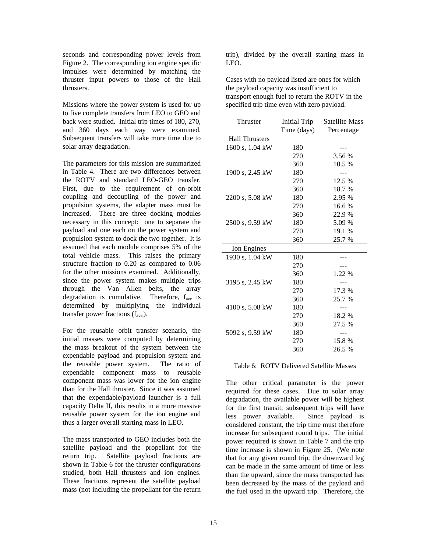seconds and corresponding power levels from Figure 2. The corresponding ion engine specific impulses were determined by matching the thruster input powers to those of the Hall thrusters.

Missions where the power system is used for up to five complete transfers from LEO to GEO and back were studied. Initial trip times of 180, 270, and 360 days each way were examined. Subsequent transfers will take more time due to solar array degradation.

The parameters for this mission are summarized in Table 4. There are two differences between the ROTV and standard LEO-GEO transfer. First, due to the requirement of on-orbit coupling and decoupling of the power and propulsion systems, the adapter mass must be increased. There are three docking modules necessary in this concept: one to separate the payload and one each on the power system and propulsion system to dock the two together. It is assumed that each module comprises 5% of the total vehicle mass. This raises the primary structure fraction to 0.20 as compared to 0.06 for the other missions examined. Additionally, since the power system makes multiple trips through the Van Allen belts, the array degradation is cumulative. Therefore,  $f_{ave}$  is determined by multiplying the individual transfer power fractions (f<sub>avei</sub>).

For the reusable orbit transfer scenario, the initial masses were computed by determining the mass breakout of the system between the expendable payload and propulsion system and the reusable power system. The ratio of expendable component mass to reusable component mass was lower for the ion engine than for the Hall thruster. Since it was assumed that the expendable/payload launcher is a full capacity Delta II, this results in a more massive reusable power system for the ion engine and thus a larger overall starting mass in LEO.

The mass transported to GEO includes both the satellite payload and the propellant for the return trip. Satellite payload fractions are shown in Table 6 for the thruster configurations studied, both Hall thrusters and ion engines. These fractions represent the satellite payload mass (not including the propellant for the return

trip), divided by the overall starting mass in LEO.

Cases with no payload listed are ones for which the payload capacity was insufficient to transport enough fuel to return the ROTV in the specified trip time even with zero payload.

| Thruster              |             | Initial Trip Satellite Mass |
|-----------------------|-------------|-----------------------------|
|                       | Time (days) | Percentage                  |
| <b>Hall Thrusters</b> |             |                             |
| 1600 s, 1.04 kW       | 180         |                             |
|                       | 270         | 3.56 %                      |
|                       | 360         | 10.5 %                      |
| 1900 s, 2.45 kW       | 180         |                             |
|                       | 270         | 12.5 %                      |
|                       | 360         | 18.7%                       |
| 2200 s, 5.08 kW       | 180         | 2.95 %                      |
|                       | 270         | 16.6 %                      |
|                       | 360         | 22.9 %                      |
| 2500 s, 9.59 kW       | 180         | 5.09 %                      |
|                       | 270         | 19.1 %                      |
|                       | 360         | 25.7%                       |
| Ion Engines           |             |                             |
| 1930 s, 1.04 kW       | 180         |                             |
|                       | 270         |                             |
|                       | 360         | 1.22 %                      |
| 3195 s, 2.45 kW       | 180         |                             |
|                       | 270         | 17.3 %                      |
|                       | 360         | 25.7 %                      |
| 4100 s, 5.08 kW       | 180         |                             |
|                       | 270         | 18.2 %                      |
|                       | 360         | 27.5 %                      |
| 5092 s, 9.59 kW       | 180         |                             |
|                       | 270         | 15.8 %                      |
|                       | 360         | 26.5 %                      |

#### Table 6: ROTV Delivered Satellite Masses

The other critical parameter is the power required for these cases. Due to solar array degradation, the available power will be highest for the first transit; subsequent trips will have less power available. Since payload is considered constant, the trip time must therefore increase for subsequent round trips. The initial power required is shown in Table 7 and the trip time increase is shown in Figure 25. (We note that for any given round trip, the downward leg can be made in the same amount of time or less than the upward, since the mass transported has been decreased by the mass of the payload and the fuel used in the upward trip. Therefore, the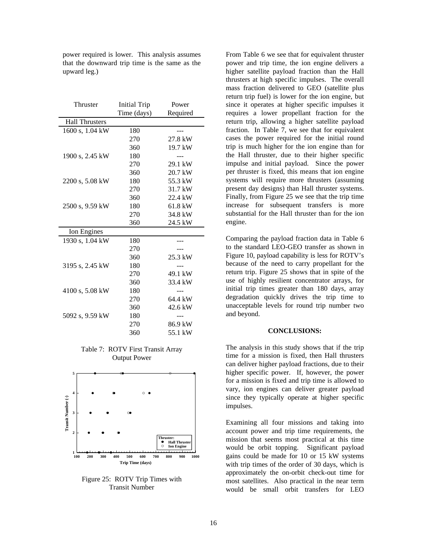| Thruster              | Initial Trip | Power    |
|-----------------------|--------------|----------|
|                       | Time (days)  | Required |
| <b>Hall Thrusters</b> |              |          |
| 1600 s, 1.04 kW       | 180          |          |
|                       | 270          | 27.8 kW  |
|                       | 360          | 19.7 kW  |
| 1900 s, 2.45 kW       | 180          |          |
|                       | 270          | 29.1 kW  |
|                       | 360          | 20.7 kW  |
| 2200 s, 5.08 kW       | 180          | 55.3 kW  |
|                       | 270          | 31.7 kW  |
|                       | 360          | 22.4 kW  |
| 2500 s, 9.59 kW       | 180          | 61.8 kW  |
|                       | 270          | 34.8 kW  |
|                       | 360          | 24.5 kW  |
| Ion Engines           |              |          |
| 1930 s, 1.04 kW       | 180          |          |
|                       | 270          |          |
|                       | 360          | 25.3 kW  |
| 3195 s, 2.45 kW       | 180          |          |
|                       | 270          | 49.1 kW  |
|                       | 360          | 33.4 kW  |
| 4100 s, 5.08 kW       | 180          |          |
|                       | 270          | 64.4 kW  |
|                       | 360          | 42.6 kW  |
| 5092 s, 9.59 kW       | 180          |          |
|                       | 270          | 86.9 kW  |
|                       | 360          | 55.1 kW  |

power required is lower. This analysis assumes that the downward trip time is the same as the upward leg.)

Table 7: ROTV First Transit Array Output Power



Figure 25: ROTV Trip Times with Transit Number

From Table 6 we see that for equivalent thruster power and trip time, the ion engine delivers a higher satellite payload fraction than the Hall thrusters at high specific impulses. The overall mass fraction delivered to GEO (satellite plus return trip fuel) is lower for the ion engine, but since it operates at higher specific impulses it requires a lower propellant fraction for the return trip, allowing a higher satellite payload fraction. In Table 7, we see that for equivalent cases the power required for the initial round trip is much higher for the ion engine than for the Hall thruster, due to their higher specific impulse and initial payload. Since the power per thruster is fixed, this means that ion engine systems will require more thrusters (assuming present day designs) than Hall thruster systems. Finally, from Figure 25 we see that the trip time increase for subsequent transfers is more substantial for the Hall thruster than for the ion engine.

Comparing the payload fraction data in Table 6 to the standard LEO-GEO transfer as shown in Figure 10, payload capability is less for ROTV's because of the need to carry propellant for the return trip. Figure 25 shows that in spite of the use of highly resilient concentrator arrays, for initial trip times greater than 180 days, array degradation quickly drives the trip time to unacceptable levels for round trip number two and beyond.

#### **CONCLUSIONS:**

The analysis in this study shows that if the trip time for a mission is fixed, then Hall thrusters can deliver higher payload fractions, due to their higher specific power. If, however, the power for a mission is fixed and trip time is allowed to vary, ion engines can deliver greater payload since they typically operate at higher specific impulses.

Examining all four missions and taking into account power and trip time requirements, the mission that seems most practical at this time would be orbit topping. Significant payload gains could be made for 10 or 15 kW systems with trip times of the order of 30 days, which is approximately the on-orbit check-out time for most satellites. Also practical in the near term would be small orbit transfers for LEO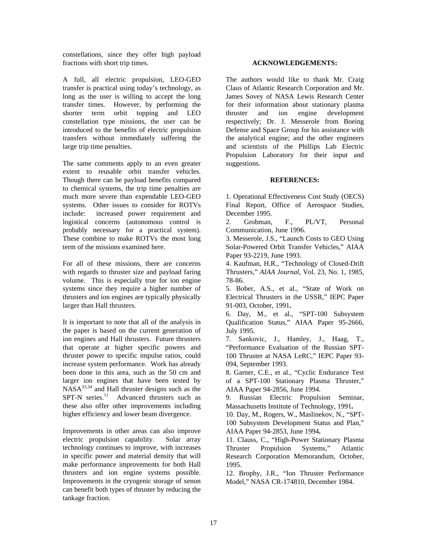constellations, since they offer high payload fractions with short trip times.

A full, all electric propulsion, LEO-GEO transfer is practical using today's technology, as long as the user is willing to accept the long transfer times. However, by performing the shorter term orbit topping and LEO constellation type missions, the user can be introduced to the benefits of electric propulsion transfers without immediately suffering the large trip time penalties.

The same comments apply to an even greater extent to reusable orbit transfer vehicles. Though there can be payload benefits compared to chemical systems, the trip time penalties are much more severe than expendable LEO-GEO systems. Other issues to consider for ROTVs include: increased power requirement and logistical concerns (autonomous control is probably necessary for a practical system). These combine to make ROTVs the most long term of the missions examined here.

For all of these missions, there are concerns with regards to thruster size and payload faring volume. This is especially true for ion engine systems since they require a higher number of thrusters and ion engines are typically physically larger than Hall thrusters.

It is important to note that all of the analysis in the paper is based on the current generation of ion engines and Hall thrusters. Future thrusters that operate at higher specific powers and thruster power to specific impulse ratios, could increase system performance. Work has already been done in this area, such as the 50 cm and larger ion engines that have been tested by NASA<sup>33,34</sup> and Hall thruster designs such as the  $SPT-N$  series.<sup>11</sup> Advanced thrusters such as these also offer other improvements including higher efficiency and lower beam divergence.

Improvements in other areas can also improve electric propulsion capability. Solar array technology continues to improve, with increases in specific power and material density that will make performance improvements for both Hall thrusters and ion engine systems possible. Improvements in the cryogenic storage of xenon can benefit both types of thruster by reducing the tankage fraction.

# **ACKNOWLEDGEMENTS:**

The authors would like to thank Mr. Craig Claus of Atlantic Research Corporation and Mr. James Sovey of NASA Lewis Research Center for their information about stationary plasma thruster and ion engine development respectively; Dr. J. Messerole from Boeing Defense and Space Group for his assistance with the analytical engine; and the other engineers and scientists of the Phillips Lab Electric Propulsion Laboratory for their input and suggestions.

# **REFERENCES:**

1. Operational Effectiveness Cost Study (OECS) Final Report, Office of Aerospace Studies, December 1995.

2. Grobman, F., PL/VT, Personal Communication, June 1996.

3. Messerole, J.S., "Launch Costs to GEO Using Solar-Powered Orbit Transfer Vehicles," AIAA Paper 93-2219, June 1993.

4. Kaufman, H.R., "Technology of Closed-Drift Thrusters," *AIAA Journal*, Vol. 23, No. 1, 1985, 78-86.

5. Bober, A.S., et al., "State of Work on Electrical Thrusters in the USSR," IEPC Paper 91-003, October, 1991**.**

6. Day, M., et al., "SPT-100 Subsystem Qualification Status," AIAA Paper 95-2666, July 1995.

7. Sankovic, J., Hamley, J., Haag, T., "Performance Evaluation of the Russian SPT-100 Thruster at NASA LeRC," IEPC Paper 93- 094, September 1993.

8. Garner, C.E., et al., "Cyclic Endurance Test of a SPT-100 Stationary Plasma Thruster," AIAA Paper 94-2856, June 1994.

9. Russian Electric Propulsion Seminar, Massachusetts Institute of Technology, 1991**.**

10. Day, M., Rogers, W., Maslinekov, N., "SPT-100 Subsystem Development Status and Plan," AIAA Paper 94-2853, June 1994**.**

11. Clauss, C., "High-Power Stationary Plasma Thruster Propulsion Systems," Atlantic Research Corporation Memorandum, October, 1995.

12. Brophy, J.R., "Ion Thruster Performance Model," NASA CR-174810, December 1984.